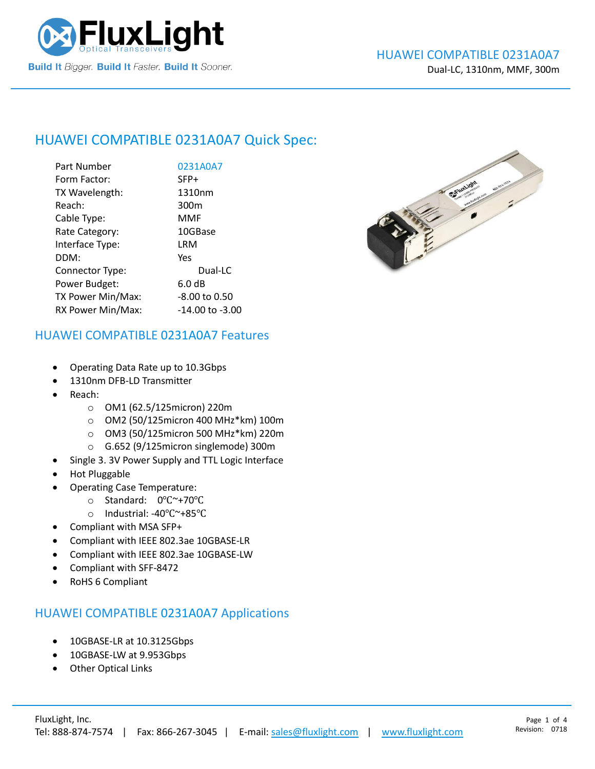

## HUAWEI COMPATIBLE [0231A0A7](https://www.fluxlight.com/0231a0a7/) Quick Spec:

| Part Number       | 0231A0A7            |
|-------------------|---------------------|
| Form Factor:      | SFP+                |
| TX Wavelength:    | 1310nm              |
| Reach:            | 300 <sub>m</sub>    |
| Cable Type:       | MMF                 |
| Rate Category:    | 10GBase             |
| Interface Type:   | LRM                 |
| DDM:              | Yes                 |
| Connector Type:   | Dual-LC             |
| Power Budget:     | 6.0 dB              |
| TX Power Min/Max: | -8.00 to 0.50       |
| RX Power Min/Max: | $-14.00$ to $-3.00$ |



#### HUAWEI COMPATIBLE [0231A0A7](https://www.fluxlight.com/0231a0a7/) Features

- Operating Data Rate up to 10.3Gbps
- 1310nm DFB-LD Transmitter
- Reach:
	- o OM1 (62.5/125micron) 220m
	- o OM2 (50/125micron 400 MHz\*km) 100m
	- o OM3 (50/125micron 500 MHz\*km) 220m
	- o G.652 (9/125micron singlemode) 300m
- Single 3. 3V Power Supply and TTL Logic Interface
- Hot Pluggable
- Operating Case Temperature:
	- o Standard: 0℃~+70℃
	- o Industrial: -40℃~+85℃
- Compliant with MSA SFP+
- Compliant with IEEE 802.3ae 10GBASE-LR
- Compliant with IEEE 802.3ae 10GBASE-LW
- Compliant with SFF-8472
- RoHS 6 Compliant

#### HUAWEI COMPATIBLE [0231A0A7](https://www.fluxlight.com/0231a0a7/) Applications

- 10GBASE-LR at 10.3125Gbps
- 10GBASE-LW at 9.953Gbps
- **Other Optical Links**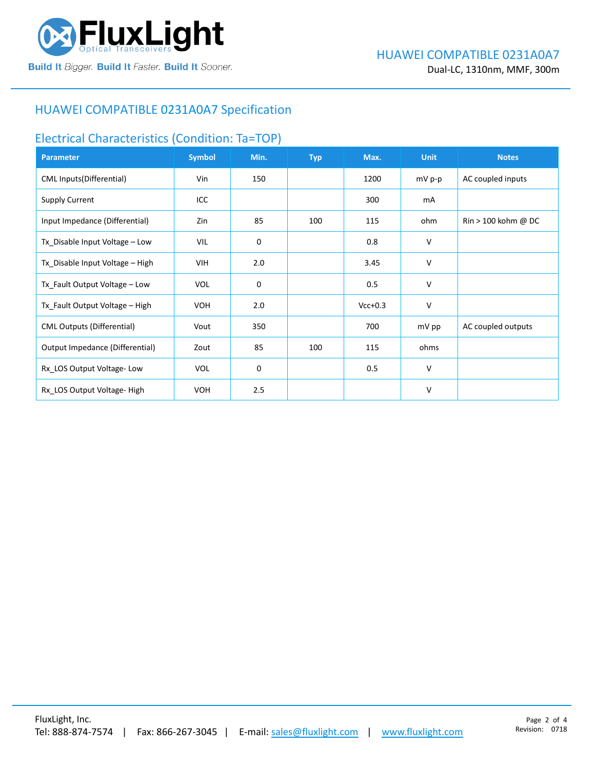

#### HUAWEI COMPATIBLE [0231A0A7](https://www.fluxlight.com/0231a0a7/) Specification

#### Electrical Characteristics (Condition: Ta=TOP)

| <b>Parameter</b>                  | <b>Symbol</b> | Min. | <b>Typ</b> | Max.      | <b>Unit</b> | <b>Notes</b>                          |
|-----------------------------------|---------------|------|------------|-----------|-------------|---------------------------------------|
| CML Inputs(Differential)          | Vin           | 150  |            | 1200      | mV p-p      | AC coupled inputs                     |
| <b>Supply Current</b>             | ICC           |      |            | 300       | mA          |                                       |
| Input Impedance (Differential)    | Zin           | 85   | 100        | 115       | ohm         | $\text{Rin} > 100 \text{ kohm } @$ DC |
| Tx_Disable Input Voltage - Low    | VIL           | 0    |            | 0.8       | V           |                                       |
| Tx_Disable Input Voltage - High   | VIH           | 2.0  |            | 3.45      | V           |                                       |
| Tx_Fault Output Voltage - Low     | <b>VOL</b>    | 0    |            | 0.5       | V           |                                       |
| Tx_Fault Output Voltage - High    | <b>VOH</b>    | 2.0  |            | $Vcc+0.3$ | v           |                                       |
| <b>CML Outputs (Differential)</b> | Vout          | 350  |            | 700       | mV pp       | AC coupled outputs                    |
| Output Impedance (Differential)   | Zout          | 85   | 100        | 115       | ohms        |                                       |
| Rx_LOS Output Voltage-Low         | <b>VOL</b>    | 0    |            | 0.5       | v           |                                       |
| Rx LOS Output Voltage-High        | <b>VOH</b>    | 2.5  |            |           | V           |                                       |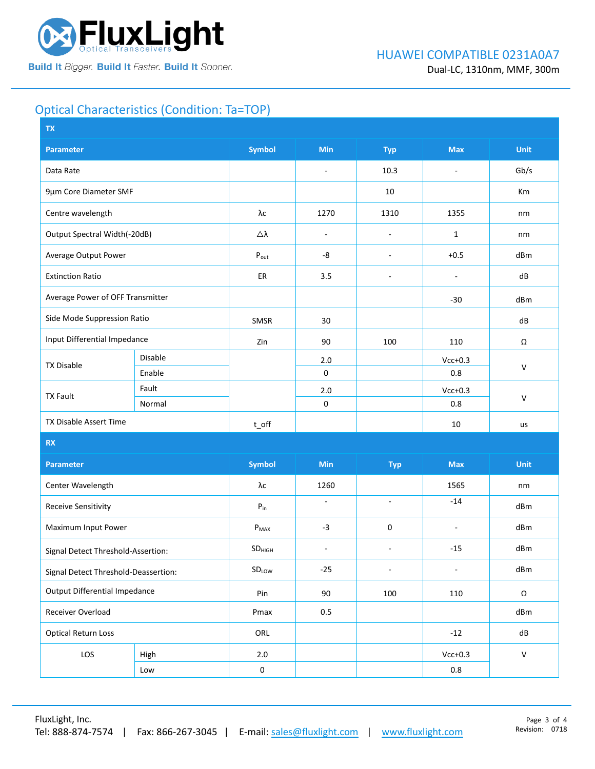

## Optical Characteristics (Condition: Ta=TOP)

| <b>TX</b>                            |         |                             |                          |                          |                          |              |  |
|--------------------------------------|---------|-----------------------------|--------------------------|--------------------------|--------------------------|--------------|--|
| <b>Parameter</b>                     |         | <b>Symbol</b>               | Min                      | <b>Typ</b>               | <b>Max</b>               | Unit         |  |
| Data Rate                            |         |                             | $\blacksquare$           | 10.3                     | $\overline{\phantom{a}}$ | Gb/s         |  |
| 9µm Core Diameter SMF                |         |                             |                          | 10                       |                          | Km           |  |
| Centre wavelength                    |         | $\lambda\mathrm{c}$         | 1270                     | 1310                     | 1355                     | nm           |  |
| Output Spectral Width(-20dB)         |         | Δλ                          | $\blacksquare$           | $\sim$                   | $\mathbf{1}$             | nm           |  |
| Average Output Power                 |         | $\mathsf{P}_{\mathsf{out}}$ | -8                       | $\overline{\phantom{a}}$ | $+0.5$                   | dBm          |  |
| <b>Extinction Ratio</b>              |         | ER                          | 3.5                      | $\sim$                   | $\overline{\phantom{a}}$ | dB           |  |
| Average Power of OFF Transmitter     |         |                             |                          |                          | $-30$                    | dBm          |  |
| Side Mode Suppression Ratio          |         | SMSR                        | 30                       |                          |                          | dB           |  |
| Input Differential Impedance         |         | Zin                         | 90                       | 100                      | 110                      | Ω            |  |
| <b>TX Disable</b>                    | Disable |                             | 2.0                      |                          | $Vcc+0.3$                | $\mathsf{V}$ |  |
|                                      | Enable  |                             | $\mathbf 0$              |                          | 0.8                      |              |  |
| <b>TX Fault</b>                      | Fault   |                             | 2.0                      |                          | $Vcc+0.3$                |              |  |
|                                      | Normal  |                             | $\pmb{0}$                |                          | 0.8                      | $\mathsf{V}$ |  |
| TX Disable Assert Time               |         | $t$ off                     |                          |                          | 10                       | us           |  |
| <b>RX</b>                            |         |                             |                          |                          |                          |              |  |
| <b>Parameter</b>                     |         | <b>Symbol</b>               | <b>Min</b>               | <b>Typ</b>               | <b>Max</b>               | <b>Unit</b>  |  |
| Center Wavelength                    |         | λс                          | 1260                     |                          | 1565                     | nm           |  |
| <b>Receive Sensitivity</b>           |         | ${\sf P}_{\sf in}$          | $\blacksquare$           | $\blacksquare$           | $-14$                    | dBm          |  |
| Maximum Input Power                  |         | $P_{MAX}$                   | $-3$                     | 0                        | $\sim$                   | dBm          |  |
| Signal Detect Threshold-Assertion:   |         | SD <sub>HIGH</sub>          | $\overline{\phantom{a}}$ | $\overline{\phantom{a}}$ | $-15$                    | dBm          |  |
| Signal Detect Threshold-Deassertion: |         | SDLOW                       | $-25$                    | $\overline{\phantom{a}}$ | $\overline{\phantom{a}}$ | dBm          |  |
| <b>Output Differential Impedance</b> |         | Pin                         | 90                       | 100                      | 110                      | $\Omega$     |  |
| Receiver Overload                    |         | Pmax                        | $0.5\,$                  |                          |                          | dBm          |  |
| <b>Optical Return Loss</b>           |         | ORL                         |                          |                          | $-12$                    | dB           |  |
| LOS                                  | High    | 2.0                         |                          |                          | $Vcc+0.3$                | ${\sf V}$    |  |
|                                      | Low     | $\pmb{0}$                   |                          |                          | 0.8                      |              |  |